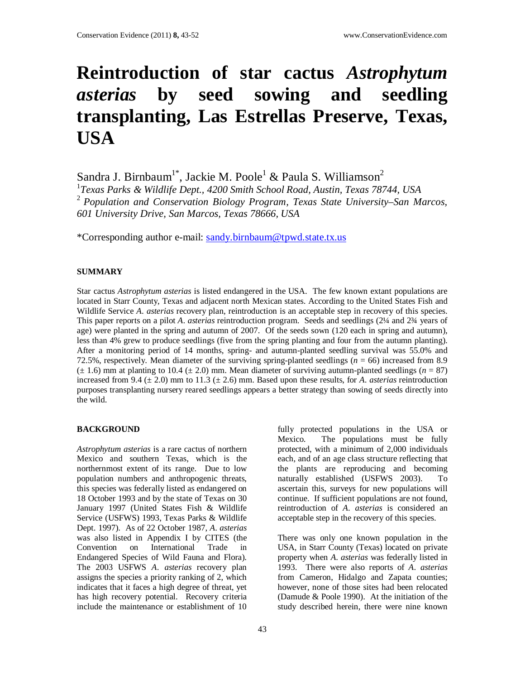# **Reintroduction of star cactus** *Astrophytum asterias* **by seed sowing and seedling transplanting, Las Estrellas Preserve, Texas, USA**

Sandra J. Birnbaum<sup>1\*</sup>, Jackie M. Poole<sup>1</sup> & Paula S. Williamson<sup>2</sup> 1 *Texas Parks & Wildlife Dept., 4200 Smith School Road, Austin, Texas 78744, USA*  <sup>2</sup>*Population and Conservation Biology Program, Texas State University–San Marcos, 601 University Drive, San Marcos, Texas 78666, USA* 

\*Corresponding author e-mail: sandy.birnbaum@tpwd.state.tx.us

#### **SUMMARY**

Star cactus *Astrophytum asterias* is listed endangered in the USA. The few known extant populations are located in Starr County, Texas and adjacent north Mexican states. According to the United States Fish and Wildlife Service *A*. *asterias* recovery plan, reintroduction is an acceptable step in recovery of this species. This paper reports on a pilot *A*. *asterias* reintroduction program. Seeds and seedlings (2¼ and 2¾ years of age) were planted in the spring and autumn of 2007. Of the seeds sown (120 each in spring and autumn), less than 4% grew to produce seedlings (five from the spring planting and four from the autumn planting). After a monitoring period of 14 months, spring- and autumn-planted seedling survival was 55.0% and 72.5%, respectively. Mean diameter of the surviving spring-planted seedlings ( $n = 66$ ) increased from 8.9  $(\pm 1.6)$  mm at planting to 10.4  $(\pm 2.0)$  mm. Mean diameter of surviving autumn-planted seedlings ( $n = 87$ ) increased from 9.4 ( $\pm$  2.0) mm to 11.3 ( $\pm$  2.6) mm. Based upon these results, for *A. asterias* reintroduction purposes transplanting nursery reared seedlings appears a better strategy than sowing of seeds directly into the wild.

## **BACKGROUND**

*Astrophytum asterias* is a rare cactus of northern Mexico and southern Texas, which is the northernmost extent of its range. Due to low population numbers and anthropogenic threats, this species was federally listed as endangered on 18 October 1993 and by the state of Texas on 30 January 1997 (United States Fish & Wildlife Service (USFWS) 1993, Texas Parks & Wildlife Dept. 1997). As of 22 October 1987, *A*. *asterias* was also listed in Appendix I by CITES (the Convention on International Trade in Endangered Species of Wild Fauna and Flora). The 2003 USFWS *A*. *asterias* recovery plan assigns the species a priority ranking of 2, which indicates that it faces a high degree of threat, yet has high recovery potential. Recovery criteria include the maintenance or establishment of 10

fully protected populations in the USA or Mexico. The populations must be fully protected, with a minimum of 2,000 individuals each, and of an age class structure reflecting that the plants are reproducing and becoming naturally established (USFWS 2003). To ascertain this, surveys for new populations will continue. If sufficient populations are not found, reintroduction of *A*. *asterias* is considered an acceptable step in the recovery of this species.

There was only one known population in the USA, in Starr County (Texas) located on private property when *A*. *asterias* was federally listed in 1993. There were also reports of *A*. *asterias* from Cameron, Hidalgo and Zapata counties; however, none of those sites had been relocated (Damude & Poole 1990). At the initiation of the study described herein, there were nine known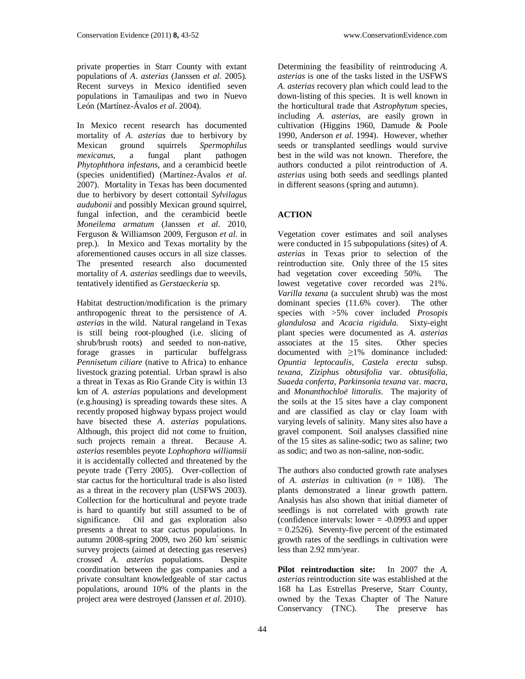private properties in Starr County with extant populations of *A*. *asterias* (Janssen *et al*. 2005). Recent surveys in Mexico identified seven populations in Tamaulipas and two in Nuevo León (Martínez-Ávalos *et al*. 2004).

In Mexico recent research has documented mortality of *A*. *asterias* due to herbivory by Mexican ground squirrels *Spermophilus mexicanus*, a fungal plant pathogen *Phytophthora infestans*, and a cerambicid beetle (species unidentified) (Martínez-Ávalos *et al*. 2007). Mortality in Texas has been documented due to herbivory by desert cottontail *Sylvilagus audubonii* and possibly Mexican ground squirrel, fungal infection, and the cerambicid beetle *Moneilema armatum* (Janssen *et al*. 2010, Ferguson & Williamson 2009, Ferguson *et al*. in prep.). In Mexico and Texas mortality by the aforementioned causes occurs in all size classes. The presented research also documented mortality of *A*. *asterias* seedlings due to weevils, tentatively identified as *Gerstaeckeria* sp.

Habitat destruction/modification is the primary anthropogenic threat to the persistence of *A*. *asterias* in the wild. Natural rangeland in Texas is still being root-ploughed (i.e. slicing of shrub/brush roots) and seeded to non-native, forage grasses in particular buffelgrass *Pennisetum ciliare* (native to Africa) to enhance livestock grazing potential. Urban sprawl is also a threat in Texas as Rio Grande City is within 13 km of *A*. *asterias* populations and development (e.g.housing) is spreading towards these sites. A recently proposed highway bypass project would have bisected these *A*. *asterias* populations. Although, this project did not come to fruition, such projects remain a threat. Because *A*. *asterias* resembles peyote *Lophophora williamsii* it is accidentally collected and threatened by the peyote trade (Terry 2005). Over-collection of star cactus for the horticultural trade is also listed as a threat in the recovery plan (USFWS 2003). Collection for the horticultural and peyote trade is hard to quantify but still assumed to be of significance. Oil and gas exploration also presents a threat to star cactus populations. In autumn 2008-spring 2009, two 260 km<sup>2</sup> seismic survey projects (aimed at detecting gas reserves) crossed *A*. *asterias* populations. Despite coordination between the gas companies and a private consultant knowledgeable of star cactus populations, around 10% of the plants in the project area were destroyed (Janssen *et al*. 2010).

Determining the feasibility of reintroducing *A*. *asterias* is one of the tasks listed in the USFWS *A*. *asterias* recovery plan which could lead to the down-listing of this species. It is well known in the horticultural trade that *Astrophytum* species, including *A*. *asterias*, are easily grown in cultivation (Higgins 1960, Damude & Poole 1990, Anderson *et al*. 1994). However, whether seeds or transplanted seedlings would survive best in the wild was not known. Therefore, the authors conducted a pilot reintroduction of *A*. *asterias* using both seeds and seedlings planted in different seasons (spring and autumn).

## **ACTION**

Vegetation cover estimates and soil analyses were conducted in 15 subpopulations (sites) of *A. asterias* in Texas prior to selection of the reintroduction site. Only three of the 15 sites had vegetation cover exceeding 50%. The lowest vegetative cover recorded was 21%. *Varilla texana* (a succulent shrub) was the most dominant species (11.6% cover). The other species with >5% cover included *Prosopis glandulosa* and *Acacia rigidula*. Sixty-eight plant species were documented as *A*. *asterias* associates at the 15 sites. Other species documented with ≥1% dominance included: *Opuntia leptocaulis*, *Castela erecta* subsp. *texana*, *Ziziphus obtusifolia* var. *obtusifolia, Suaeda conferta*, *Parkinsonia texana* var. *macra*, and *Monanthochloë littoralis*. The majority of the soils at the 15 sites have a clay component and are classified as clay or clay loam with varying levels of salinity. Many sites also have a gravel component. Soil analyses classified nine of the 15 sites as saline-sodic; two as saline; two as sodic; and two as non-saline, non-sodic.

The authors also conducted growth rate analyses of *A*. *asterias* in cultivation (*n* = 108). The plants demonstrated a linear growth pattern. Analysis has also shown that initial diameter of seedlings is not correlated with growth rate (confidence intervals: lower  $= -0.0993$  and upper  $= 0.2526$ ). Seventy-five percent of the estimated growth rates of the seedlings in cultivation were less than 2.92 mm/year.

**Pilot reintroduction site:** In 2007 the *A. asterias* reintroduction site was established at the 168 ha Las Estrellas Preserve, Starr County, owned by the Texas Chapter of The Nature Conservancy (TNC). The preserve has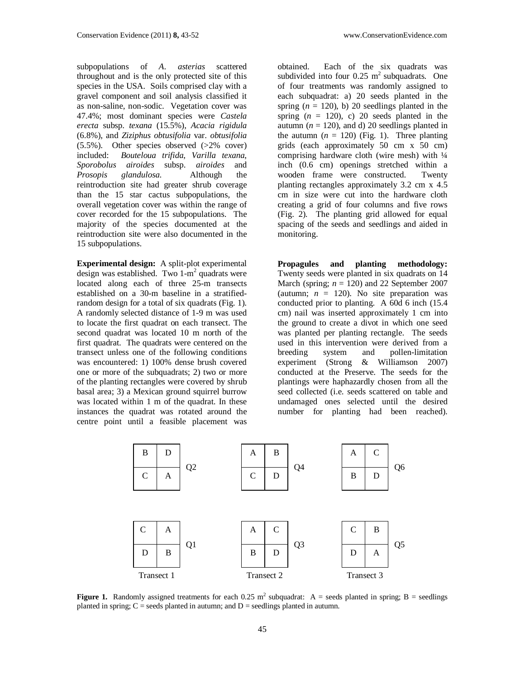subpopulations of *A*. *asterias* scattered throughout and is the only protected site of this species in the USA. Soils comprised clay with a gravel component and soil analysis classified it as non-saline, non-sodic. Vegetation cover was 47.4%; most dominant species were *Castela erecta* subsp. *texana* (15.5%), *Acacia rigidula* (6.8%), and *Ziziphus obtusifolia* var. *obtusifolia*  $(5.5\%)$ . Other species observed  $(>2\%$  cover) included: *Bouteloua trifida*, *Varilla texana*, *Sporobolus airoides* subsp. *airoides* and *Prosopis glandulosa*. Although the reintroduction site had greater shrub coverage than the 15 star cactus subpopulations, the overall vegetation cover was within the range of cover recorded for the 15 subpopulations. The majority of the species documented at the reintroduction site were also documented in the 15 subpopulations.

**Experimental design:** A split-plot experimental design was established. Two 1-m<sup>2</sup> quadrats were located along each of three 25-m transects established on a 30-m baseline in a stratifiedrandom design for a total of six quadrats (Fig. 1). A randomly selected distance of 1-9 m was used to locate the first quadrat on each transect. The second quadrat was located 10 m north of the first quadrat. The quadrats were centered on the transect unless one of the following conditions was encountered: 1) 100% dense brush covered one or more of the subquadrats; 2) two or more of the planting rectangles were covered by shrub basal area; 3) a Mexican ground squirrel burrow was located within 1 m of the quadrat. In these instances the quadrat was rotated around the centre point until a feasible placement was

obtained. Each of the six quadrats was subdivided into four  $0.25 \text{ m}^2$  subquadrats. One of four treatments was randomly assigned to each subquadrat: a) 20 seeds planted in the spring  $(n = 120)$ , b) 20 seedlings planted in the spring  $(n = 120)$ , c) 20 seeds planted in the autumn ( $n = 120$ ), and d) 20 seedlings planted in the autumn  $(n = 120)$  (Fig. 1). Three planting grids (each approximately 50 cm x 50 cm) comprising hardware cloth (wire mesh) with  $\frac{1}{4}$ inch (0.6 cm) openings stretched within a wooden frame were constructed. Twenty planting rectangles approximately 3.2 cm x 4.5 cm in size were cut into the hardware cloth creating a grid of four columns and five rows (Fig. 2). The planting grid allowed for equal spacing of the seeds and seedlings and aided in monitoring.

**Propagules and planting methodology:**  Twenty seeds were planted in six quadrats on 14 March (spring;  $n = 120$ ) and 22 September 2007 (autumn;  $n = 120$ ). No site preparation was conducted prior to planting. A 60d 6 inch (15.4 cm) nail was inserted approximately 1 cm into the ground to create a divot in which one seed was planted per planting rectangle. The seeds used in this intervention were derived from a breeding system and pollen-limitation experiment (Strong & Williamson 2007) conducted at the Preserve. The seeds for the plantings were haphazardly chosen from all the seed collected (i.e. seeds scattered on table and undamaged ones selected until the desired number for planting had been reached).



**Figure 1.** Randomly assigned treatments for each  $0.25 \text{ m}^2$  subquadrat: A = seeds planted in spring; B = seedlings planted in spring;  $C$  = seeds planted in autumn; and  $D$  = seedlings planted in autumn.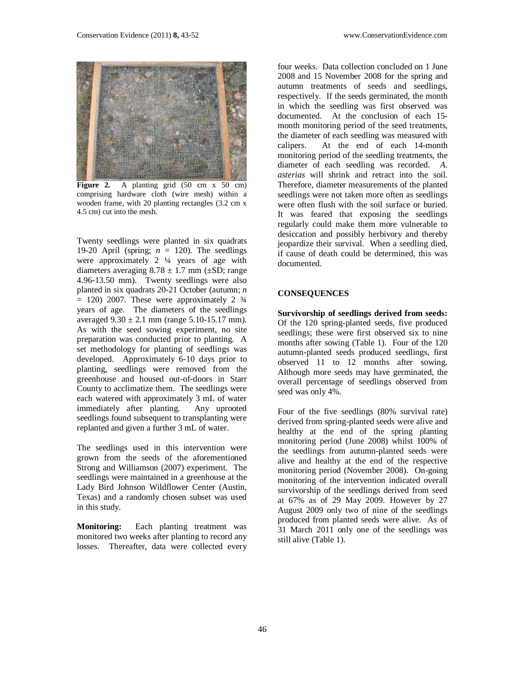

Figure 2. A planting grid (50 cm x 50 cm) comprising hardware cloth (wire mesh) within a wooden frame, with 20 planting rectangles (3.2 cm x 4.5 cm) cut into the mesh.

Twenty seedlings were planted in six quadrats 19-20 April (spring;  $n = 120$ ). The seedlings were approximately 2 ¼ years of age with diameters averaging  $8.78 \pm 1.7$  mm ( $\pm SD$ ; range 4.96-13.50 mm). Twenty seedlings were also planted in six quadrats 20-21 October (autumn; *n*  $= 120$ ) 2007. These were approximately 2  $\frac{3}{4}$ years of age. The diameters of the seedlings averaged  $9.30 \pm 2.1$  mm (range  $5.10 - 15.17$  mm). As with the seed sowing experiment, no site preparation was conducted prior to planting. A set methodology for planting of seedlings was developed. Approximately 6-10 days prior to planting, seedlings were removed from the greenhouse and housed out-of-doors in Starr County to acclimatize them. The seedlings were each watered with approximately 3 mL of water immediately after planting. Any uprooted seedlings found subsequent to transplanting were replanted and given a further 3 mL of water.

The seedlings used in this intervention were grown from the seeds of the aforementioned Strong and Williamson (2007) experiment. The seedlings were maintained in a greenhouse at the Lady Bird Johnson Wildflower Center (Austin, Texas) and a randomly chosen subset was used in this study.

**Monitoring:** Each planting treatment was monitored two weeks after planting to record any losses. Thereafter, data were collected every

four weeks. Data collection concluded on 1 June 2008 and 15 November 2008 for the spring and autumn treatments of seeds and seedlings, respectively. If the seeds germinated, the month in which the seedling was first observed was documented. At the conclusion of each 15 month monitoring period of the seed treatments, the diameter of each seedling was measured with calipers. At the end of each 14-month monitoring period of the seedling treatments, the diameter of each seedling was recorded. *A*. *asterias* will shrink and retract into the soil. Therefore, diameter measurements of the planted seedlings were not taken more often as seedlings were often flush with the soil surface or buried. It was feared that exposing the seedlings regularly could make them more vulnerable to desiccation and possibly herbivory and thereby jeopardize their survival. When a seedling died, if cause of death could be determined, this was documented.

#### **CONSEQUENCES**

**Survivorship of seedlings derived from seeds:**  Of the 120 spring-planted seeds, five produced seedlings; these were first observed six to nine months after sowing (Table 1). Four of the 120 autumn-planted seeds produced seedlings, first observed 11 to 12 months after sowing. Although more seeds may have germinated, the overall percentage of seedlings observed from seed was only 4%.

Four of the five seedlings (80% survival rate) derived from spring-planted seeds were alive and healthy at the end of the spring planting monitoring period (June 2008) whilst 100% of the seedlings from autumn-planted seeds were alive and healthy at the end of the respective monitoring period (November 2008). On-going monitoring of the intervention indicated overall survivorship of the seedlings derived from seed at 67% as of 29 May 2009. However by 27 August 2009 only two of nine of the seedlings produced from planted seeds were alive. As of 31 March 2011 only one of the seedlings was still alive (Table 1).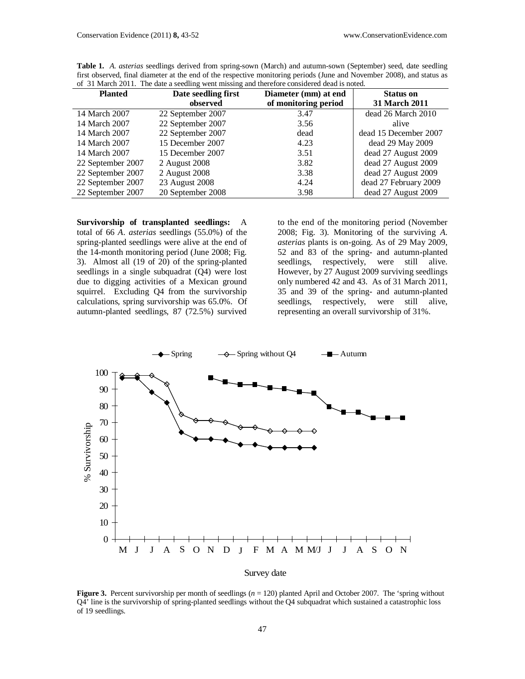| 01 J March 2011. The date a securing went missing and therefore considered dead is noted. |                      |                       |
|-------------------------------------------------------------------------------------------|----------------------|-----------------------|
| Date seedling first                                                                       | Diameter (mm) at end | <b>Status on</b>      |
| observed                                                                                  | of monitoring period | <b>31 March 2011</b>  |
| 22 September 2007                                                                         | 3.47                 | dead 26 March 2010    |
| 22 September 2007                                                                         | 3.56                 | alive                 |
| 22 September 2007                                                                         | dead                 | dead 15 December 2007 |
| 15 December 2007                                                                          | 4.23                 | dead 29 May 2009      |
| 15 December 2007                                                                          | 3.51                 | dead 27 August 2009   |
| 2 August 2008                                                                             | 3.82                 | dead 27 August 2009   |
| 2 August 2008                                                                             | 3.38                 | dead 27 August 2009   |
| 23 August 2008                                                                            | 4.24                 | dead 27 February 2009 |
| 20 September 2008                                                                         | 3.98                 | dead 27 August 2009   |
|                                                                                           |                      |                       |

**Table 1.** *A*. *asterias* seedlings derived from spring-sown (March) and autumn-sown (September) seed, date seedling first observed, final diameter at the end of the respective monitoring periods (June and November 2008), and status as of 31 March 2011. The date a seedling went missing and therefore considered dead is noted.

**Survivorship of transplanted seedlings:** A total of 66 *A*. *asterias* seedlings (55.0%) of the spring-planted seedlings were alive at the end of the 14-month monitoring period (June 2008; Fig. 3). Almost all (19 of 20) of the spring-planted seedlings in a single subquadrat (Q4) were lost due to digging activities of a Mexican ground squirrel. Excluding Q4 from the survivorship calculations, spring survivorship was 65.0%. Of autumn-planted seedlings, 87 (72.5%) survived

to the end of the monitoring period (November 2008; Fig. 3). Monitoring of the surviving *A*. *asterias* plants is on-going. As of 29 May 2009, 52 and 83 of the spring- and autumn-planted seedlings, respectively, were still alive. However, by 27 August 2009 surviving seedlings only numbered 42 and 43. As of 31 March 2011, 35 and 39 of the spring- and autumn-planted seedlings, respectively, were still alive, representing an overall survivorship of 31%.



**Figure 3.** Percent survivorship per month of seedlings ( $n = 120$ ) planted April and October 2007. The 'spring without Q4' line is the survivorship of spring-planted seedlings without the Q4 subquadrat which sustained a catastrophic loss of 19 seedlings.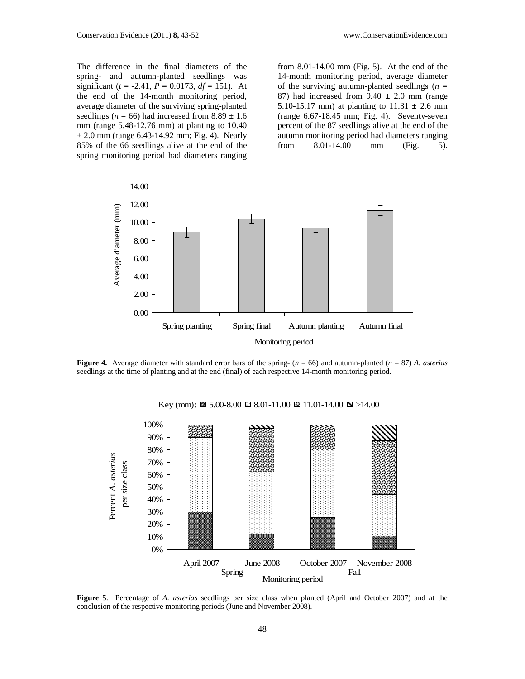The difference in the final diameters of the spring- and autumn-planted seedlings was significant ( $t = -2.41$ ,  $P = 0.0173$ ,  $df = 151$ ). At the end of the 14-month monitoring period, average diameter of the surviving spring-planted seedlings ( $n = 66$ ) had increased from  $8.89 \pm 1.6$ mm (range 5.48-12.76 mm) at planting to 10.40  $\pm$  2.0 mm (range 6.43-14.92 mm; Fig. 4). Nearly 85% of the 66 seedlings alive at the end of the spring monitoring period had diameters ranging

from 8.01-14.00 mm (Fig. 5). At the end of the 14-month monitoring period, average diameter of the surviving autumn-planted seedlings  $(n =$ 87) had increased from  $9.40 \pm 2.0$  mm (range 5.10-15.17 mm) at planting to  $11.31 \pm 2.6$  mm (range 6.67-18.45 mm; Fig. 4). Seventy-seven percent of the 87 seedlings alive at the end of the autumn monitoring period had diameters ranging from 8.01-14.00 mm (Fig. 5).



**Figure 4.** Average diameter with standard error bars of the spring-  $(n = 66)$  and autumn-planted  $(n = 87)$  *A. asterias* seedlings at the time of planting and at the end (final) of each respective 14-month monitoring period.



Key (mm):  $\boxtimes$  5.00-8.00  $\boxtimes$  8.01-11.00  $\boxtimes$  11.01-14.00  $\boxtimes$  >14.00

**Figure 5**. Percentage of *A*. *asterias* seedlings per size class when planted (April and October 2007) and at the conclusion of the respective monitoring periods (June and November 2008).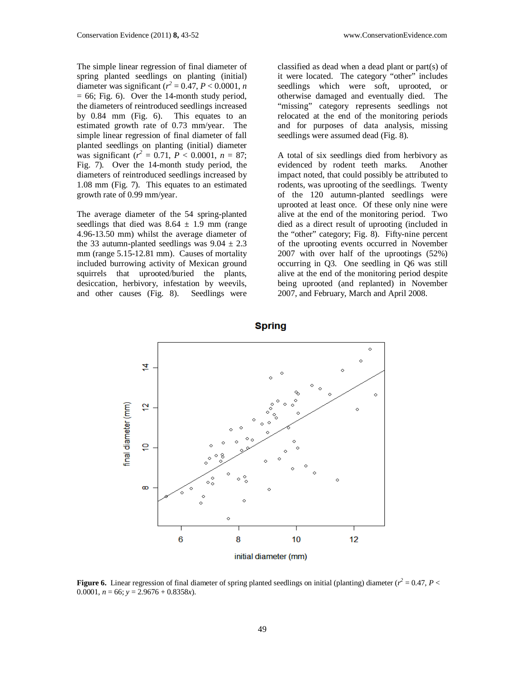The simple linear regression of final diameter of spring planted seedlings on planting (initial) diameter was significant  $(r^2 = 0.47, P < 0.0001, n$  $= 66$ ; Fig. 6). Over the 14-month study period, the diameters of reintroduced seedlings increased by 0.84 mm (Fig. 6). This equates to an estimated growth rate of 0.73 mm/year. The simple linear regression of final diameter of fall planted seedlings on planting (initial) diameter was significant  $(r^2 = 0.71, P < 0.0001, n = 87;$ Fig. 7). Over the 14-month study period, the diameters of reintroduced seedlings increased by 1.08 mm (Fig. 7). This equates to an estimated growth rate of 0.99 mm/year.

The average diameter of the 54 spring-planted seedlings that died was  $8.64 \pm 1.9$  mm (range 4.96-13.50 mm) whilst the average diameter of the 33 autumn-planted seedlings was  $9.04 \pm 2.3$ mm (range 5.15-12.81 mm). Causes of mortality included burrowing activity of Mexican ground squirrels that uprooted/buried the plants, desiccation, herbivory, infestation by weevils, and other causes (Fig. 8). Seedlings were

classified as dead when a dead plant or part(s) of it were located. The category "other" includes seedlings which were soft, uprooted, or otherwise damaged and eventually died. The "missing" category represents seedlings not relocated at the end of the monitoring periods and for purposes of data analysis, missing seedlings were assumed dead (Fig. 8).

A total of six seedlings died from herbivory as evidenced by rodent teeth marks. Another impact noted, that could possibly be attributed to rodents, was uprooting of the seedlings. Twenty of the 120 autumn-planted seedlings were uprooted at least once. Of these only nine were alive at the end of the monitoring period. Two died as a direct result of uprooting (included in the "other" category; Fig. 8). Fifty-nine percent of the uprooting events occurred in November 2007 with over half of the uprootings (52%) occurring in Q3. One seedling in Q6 was still alive at the end of the monitoring period despite being uprooted (and replanted) in November 2007, and February, March and April 2008.



**Figure 6.** Linear regression of final diameter of spring planted seedlings on initial (planting) diameter ( $r^2 = 0.47$ ,  $P <$ 0.0001,  $n = 66$ ;  $y = 2.9676 + 0.8358x$ .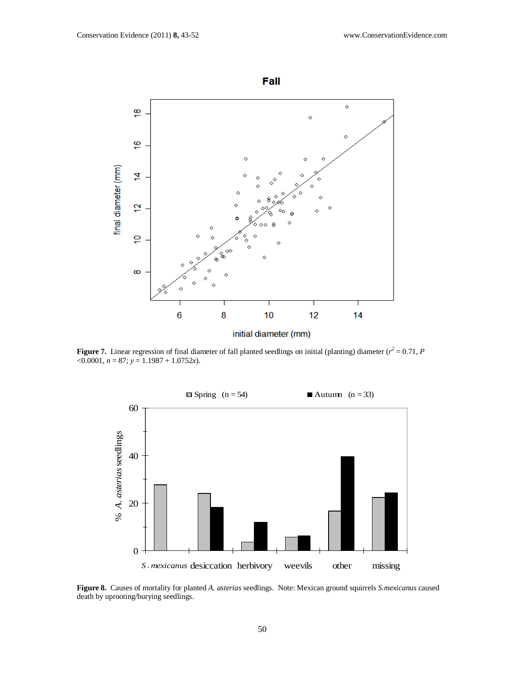

**Figure 7.** Linear regression of final diameter of fall planted seedlings on initial (planting) diameter ( $r^2 = 0.71$ , *P*  $\leq 0.0001, n = 87; y = 1.1987 + 1.0752x.$ 



**Figure 8.** Causes of mortality for planted *A*. *asterias* seedlings. Note: Mexican ground squirrels *S.mexicanus* caused death by uprooting/burying seedlings.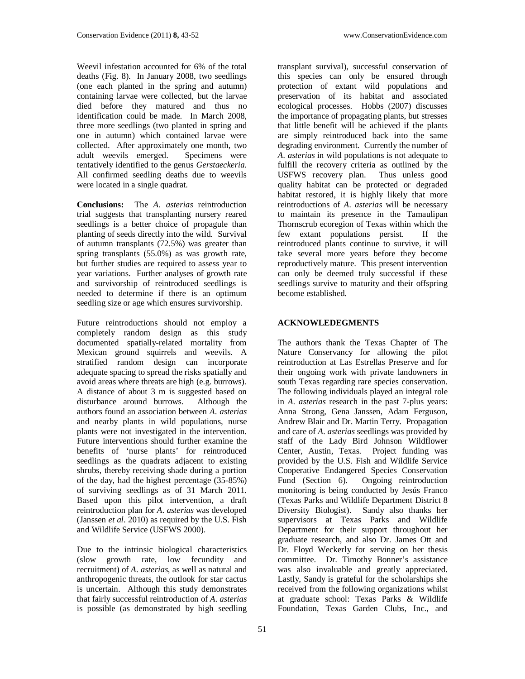Weevil infestation accounted for 6% of the total deaths (Fig. 8). In January 2008, two seedlings (one each planted in the spring and autumn) containing larvae were collected, but the larvae died before they matured and thus no identification could be made. In March 2008, three more seedlings (two planted in spring and one in autumn) which contained larvae were collected. After approximately one month, two<br>adult weevils emerged. Specimens were adult weevils emerged. tentatively identified to the genus *Gerstaeckeria*. All confirmed seedling deaths due to weevils were located in a single quadrat.

**Conclusions:** The *A*. *asterias* reintroduction trial suggests that transplanting nursery reared seedlings is a better choice of propagule than planting of seeds directly into the wild. Survival of autumn transplants (72.5%) was greater than spring transplants (55.0%) as was growth rate, but further studies are required to assess year to year variations. Further analyses of growth rate and survivorship of reintroduced seedlings is needed to determine if there is an optimum seedling size or age which ensures survivorship.

Future reintroductions should not employ a completely random design as this study documented spatially-related mortality from Mexican ground squirrels and weevils. A stratified random design can incorporate adequate spacing to spread the risks spatially and avoid areas where threats are high (e.g. burrows). A distance of about 3 m is suggested based on disturbance around burrows. Although the authors found an association between *A*. *asterias* and nearby plants in wild populations, nurse plants were not investigated in the intervention. Future interventions should further examine the benefits of 'nurse plants' for reintroduced seedlings as the quadrats adjacent to existing shrubs, thereby receiving shade during a portion of the day, had the highest percentage (35-85%) of surviving seedlings as of 31 March 2011. Based upon this pilot intervention, a draft reintroduction plan for *A*. *asterias* was developed (Janssen *et al*. 2010) as required by the U.S. Fish and Wildlife Service (USFWS 2000).

Due to the intrinsic biological characteristics (slow growth rate, low fecundity and recruitment) of *A*. *asterias*, as well as natural and anthropogenic threats, the outlook for star cactus is uncertain. Although this study demonstrates that fairly successful reintroduction of *A*. *asterias*  is possible (as demonstrated by high seedling

transplant survival), successful conservation of this species can only be ensured through protection of extant wild populations and preservation of its habitat and associated ecological processes. Hobbs (2007) discusses the importance of propagating plants, but stresses that little benefit will be achieved if the plants are simply reintroduced back into the same degrading environment. Currently the number of *A*. *asterias* in wild populations is not adequate to fulfill the recovery criteria as outlined by the USFWS recovery plan. Thus unless good quality habitat can be protected or degraded habitat restored, it is highly likely that more reintroductions of *A*. *asterias* will be necessary to maintain its presence in the Tamaulipan Thornscrub ecoregion of Texas within which the few extant populations persist. If the reintroduced plants continue to survive, it will take several more years before they become reproductively mature. This present intervention can only be deemed truly successful if these seedlings survive to maturity and their offspring become established.

# **ACKNOWLEDEGMENTS**

The authors thank the Texas Chapter of The Nature Conservancy for allowing the pilot reintroduction at Las Estrellas Preserve and for their ongoing work with private landowners in south Texas regarding rare species conservation. The following individuals played an integral role in *A*. *asterias* research in the past 7-plus years: Anna Strong, Gena Janssen, Adam Ferguson, Andrew Blair and Dr. Martin Terry. Propagation and care of *A*. *asterias* seedlings was provided by staff of the Lady Bird Johnson Wildflower Center, Austin, Texas. Project funding was provided by the U.S. Fish and Wildlife Service Cooperative Endangered Species Conservation<br>Fund (Section 6). Ongoing reintroduction Ongoing reintroduction monitoring is being conducted by Jesús Franco (Texas Parks and Wildlife Department District 8 Diversity Biologist). Sandy also thanks her supervisors at Texas Parks and Wildlife Department for their support throughout her graduate research, and also Dr. James Ott and Dr. Floyd Weckerly for serving on her thesis committee. Dr. Timothy Bonner's assistance was also invaluable and greatly appreciated. Lastly, Sandy is grateful for the scholarships she received from the following organizations whilst at graduate school: Texas Parks & Wildlife Foundation, Texas Garden Clubs, Inc., and